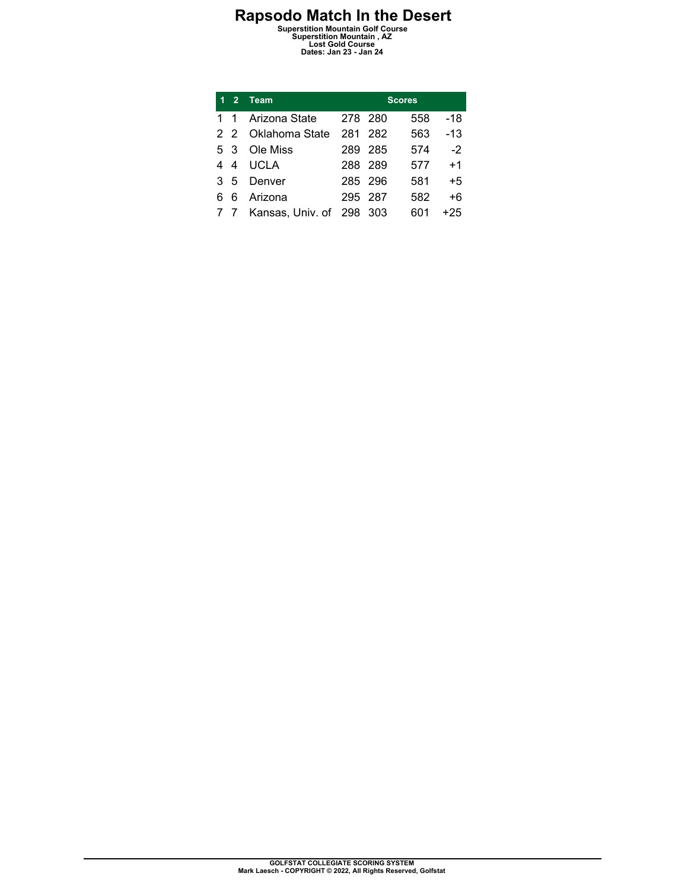**Rapsodo Match In the Desert Superstition Mountain Golf Course Superstition Mountain , AZ Lost Gold Course Dates: Jan 23 - Jan 24** 

| 1  | $\overline{2}$ | <b>Team</b>                  | <b>Scores</b> |         |     |       |  |  |  |
|----|----------------|------------------------------|---------------|---------|-----|-------|--|--|--|
| 1. | 1              | Arizona State                | 278 280       |         | 558 | -18   |  |  |  |
|    |                | 2 2 Oklahoma State           |               | 281 282 | 563 | $-13$ |  |  |  |
|    | 53             | Ole Miss                     |               | 289 285 | 574 | $-2$  |  |  |  |
| 4  | 4              | <b>UCLA</b>                  | 288 289       |         | 577 | $+1$  |  |  |  |
| 3  | 5              | Denver                       | 285 296       |         | 581 | $+5$  |  |  |  |
| 6  | 6              | Arizona                      | 295 287       |         | 582 | +6    |  |  |  |
|    |                | 7 7 Kansas, Univ. of 298 303 |               |         | 601 | $+25$ |  |  |  |